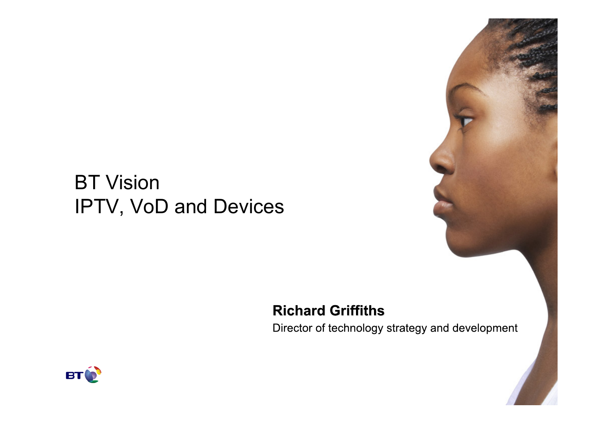## BT Vision IPTV, VoD and Devices

#### **Richard Griffiths**

Director of technology strategy and development

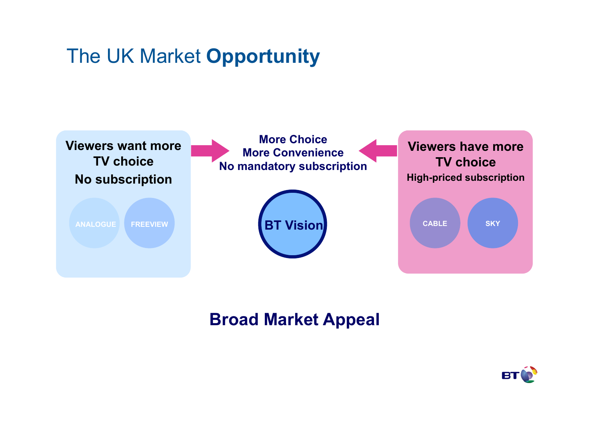### The UK Market **Opportunity**



#### **Broad Market Appeal**

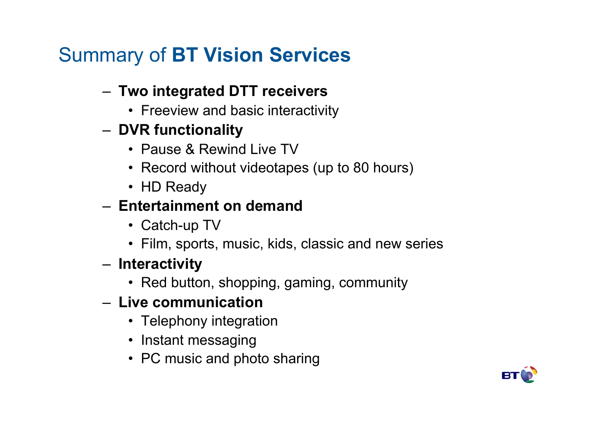# Summary of **BT Vision Services**

#### – **Two integrated DTT receivers**

- Freeview and basic interactivity
- **DVR functionality** 
	- Pause & Rewind Live TV
	- Record without videotapes (up to 80 hours)
	- HD Ready

#### – **Entertainment on demand**

- Catch-up TV
- Film, sports, music, kids, classic and new series
- **Interactivity** 
	- Red button, shopping, gaming, community

### – **Live communication**

- Telephony integration
- Instant messaging
- PC music and photo sharing

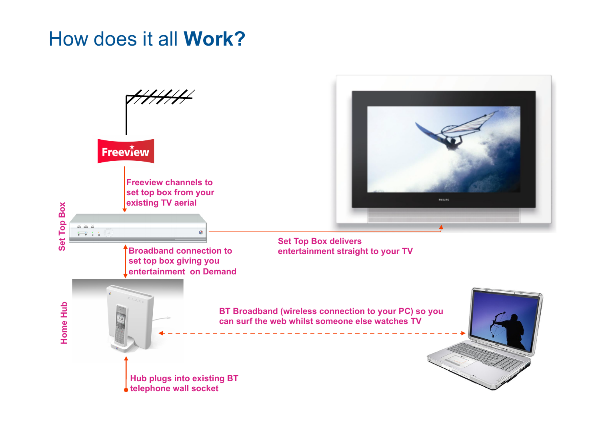### How does it all **Work?**